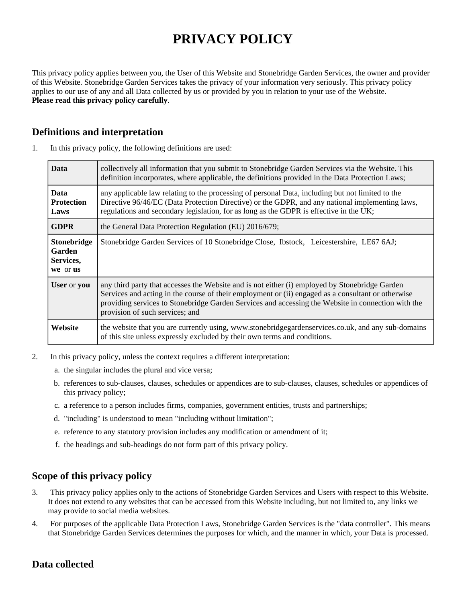# **PRIVACY POLICY**

This privacy policy applies between you, the User of this Website and Stonebridge Garden Services, the owner and provider of this Website. Stonebridge Garden Services takes the privacy of your information very seriously. This privacy policy applies to our use of any and all Data collected by us or provided by you in relation to your use of the Website. **Please read this privacy policy carefully**.

## **Definitions and interpretation**

| <b>Data</b>                                    | collectively all information that you submit to Stonebridge Garden Services via the Website. This<br>definition incorporates, where applicable, the definitions provided in the Data Protection Laws;                                                                                                                                         |
|------------------------------------------------|-----------------------------------------------------------------------------------------------------------------------------------------------------------------------------------------------------------------------------------------------------------------------------------------------------------------------------------------------|
| <b>Data</b><br><b>Protection</b><br>Laws       | any applicable law relating to the processing of personal Data, including but not limited to the<br>Directive 96/46/EC (Data Protection Directive) or the GDPR, and any national implementing laws,<br>regulations and secondary legislation, for as long as the GDPR is effective in the UK;                                                 |
| <b>GDPR</b>                                    | the General Data Protection Regulation (EU) 2016/679;                                                                                                                                                                                                                                                                                         |
| Stonebridge<br>Garden<br>Services,<br>we or us | Stonebridge Garden Services of 10 Stonebridge Close, Ibstock, Leicestershire, LE67 6AJ;                                                                                                                                                                                                                                                       |
| User or you                                    | any third party that accesses the Website and is not either (i) employed by Stonebridge Garden<br>Services and acting in the course of their employment or (ii) engaged as a consultant or otherwise<br>providing services to Stonebridge Garden Services and accessing the Website in connection with the<br>provision of such services; and |
| Website                                        | the website that you are currently using, www.stonebridgegardenservices.co.uk, and any sub-domains<br>of this site unless expressly excluded by their own terms and conditions.                                                                                                                                                               |

1. In this privacy policy, the following definitions are used:

- 2. In this privacy policy, unless the context requires a different interpretation:
	- a. the singular includes the plural and vice versa;
	- b. references to sub-clauses, clauses, schedules or appendices are to sub-clauses, clauses, schedules or appendices of this privacy policy;
	- c. a reference to a person includes firms, companies, government entities, trusts and partnerships;
	- d. "including" is understood to mean "including without limitation";
	- e. reference to any statutory provision includes any modification or amendment of it;
	- f. the headings and sub-headings do not form part of this privacy policy.

#### **Scope of this privacy policy**

- 3. This privacy policy applies only to the actions of Stonebridge Garden Services and Users with respect to this Website. It does not extend to any websites that can be accessed from this Website including, but not limited to, any links we may provide to social media websites.
- 4. For purposes of the applicable Data Protection Laws, Stonebridge Garden Services is the "data controller". This means that Stonebridge Garden Services determines the purposes for which, and the manner in which, your Data is processed.

## **Data collected**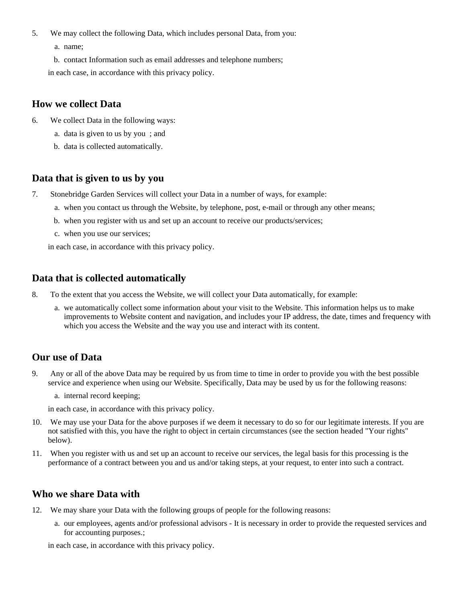- 5. We may collect the following Data, which includes personal Data, from you:
	- a. name;
	- b. contact Information such as email addresses and telephone numbers;

in each case, in accordance with this privacy policy.

### **How we collect Data**

- 6. We collect Data in the following ways:
	- a. data is given to us by you ; and
	- b. data is collected automatically.

#### **Data that is given to us by you**

- 7. Stonebridge Garden Services will collect your Data in a number of ways, for example:
	- a. when you contact us through the Website, by telephone, post, e-mail or through any other means;
	- b. when you register with us and set up an account to receive our products/services;
	- c. when you use our services;

in each case, in accordance with this privacy policy.

## **Data that is collected automatically**

- 8. To the extent that you access the Website, we will collect your Data automatically, for example:
	- a. we automatically collect some information about your visit to the Website. This information helps us to make improvements to Website content and navigation, and includes your IP address, the date, times and frequency with which you access the Website and the way you use and interact with its content.

## **Our use of Data**

- 9. Any or all of the above Data may be required by us from time to time in order to provide you with the best possible service and experience when using our Website. Specifically, Data may be used by us for the following reasons:
	- a. internal record keeping;

in each case, in accordance with this privacy policy.

- 10. We may use your Data for the above purposes if we deem it necessary to do so for our legitimate interests. If you are not satisfied with this, you have the right to object in certain circumstances (see the section headed "Your rights" below).
- 11. When you register with us and set up an account to receive our services, the legal basis for this processing is the performance of a contract between you and us and/or taking steps, at your request, to enter into such a contract.

## **Who we share Data with**

- 12. We may share your Data with the following groups of people for the following reasons:
	- a. our employees, agents and/or professional advisors It is necessary in order to provide the requested services and for accounting purposes.;

in each case, in accordance with this privacy policy.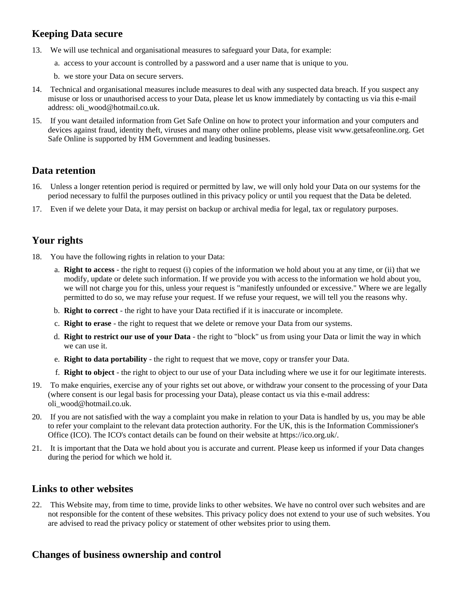# **Keeping Data secure**

- 13. We will use technical and organisational measures to safeguard your Data, for example:
	- a. access to your account is controlled by a password and a user name that is unique to you.
	- b. we store your Data on secure servers.
- 14. Technical and organisational measures include measures to deal with any suspected data breach. If you suspect any misuse or loss or unauthorised access to your Data, please let us know immediately by contacting us via this e-mail address: oli\_wood@hotmail.co.uk.
- 15. If you want detailed information from Get Safe Online on how to protect your information and your computers and devices against fraud, identity theft, viruses and many other online problems, please visit www.getsafeonline.org. Get Safe Online is supported by HM Government and leading businesses.

# **Data retention**

- 16. Unless a longer retention period is required or permitted by law, we will only hold your Data on our systems for the period necessary to fulfil the purposes outlined in this privacy policy or until you request that the Data be deleted.
- 17. Even if we delete your Data, it may persist on backup or archival media for legal, tax or regulatory purposes.

# **Your rights**

- 18. You have the following rights in relation to your Data:
	- a. **Right to access** the right to request (i) copies of the information we hold about you at any time, or (ii) that we modify, update or delete such information. If we provide you with access to the information we hold about you, we will not charge you for this, unless your request is "manifestly unfounded or excessive." Where we are legally permitted to do so, we may refuse your request. If we refuse your request, we will tell you the reasons why.
	- b. **Right to correct** the right to have your Data rectified if it is inaccurate or incomplete.
	- c. **Right to erase** the right to request that we delete or remove your Data from our systems.
	- d. **Right to restrict our use of your Data** the right to "block" us from using your Data or limit the way in which we can use it.
	- e. **Right to data portability** the right to request that we move, copy or transfer your Data.
	- f. **Right to object** the right to object to our use of your Data including where we use it for our legitimate interests.
- 19. To make enquiries, exercise any of your rights set out above, or withdraw your consent to the processing of your Data (where consent is our legal basis for processing your Data), please contact us via this e-mail address: oli\_wood@hotmail.co.uk.
- 20. If you are not satisfied with the way a complaint you make in relation to your Data is handled by us, you may be able to refer your complaint to the relevant data protection authority. For the UK, this is the Information Commissioner's Office (ICO). The ICO's contact details can be found on their website at https://ico.org.uk/.
- 21. It is important that the Data we hold about you is accurate and current. Please keep us informed if your Data changes during the period for which we hold it.

## **Links to other websites**

22. This Website may, from time to time, provide links to other websites. We have no control over such websites and are not responsible for the content of these websites. This privacy policy does not extend to your use of such websites. You are advised to read the privacy policy or statement of other websites prior to using them.

# **Changes of business ownership and control**